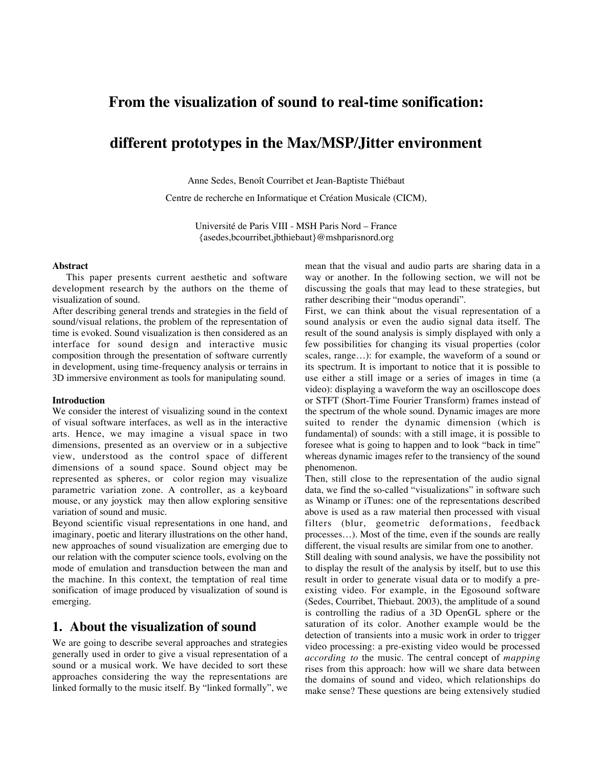# **From the visualization of sound to real-time sonification:**

# **different prototypes in the Max/MSP/Jitter environment**

Anne Sedes, Benoît Courribet et Jean-Baptiste Thiébaut

Centre de recherche en Informatique et Création Musicale (CICM),

Université de Paris VIII - MSH Paris Nord – France {asedes,bcourribet,jbthiebaut}@mshparisnord.org

#### **Abstract**

This paper presents current aesthetic and software development research by the authors on the theme of visualization of sound.

After describing general trends and strategies in the field of sound/visual relations, the problem of the representation of time is evoked. Sound visualization is then considered as an interface for sound design and interactive music composition through the presentation of software currently in development, using time-frequency analysis or terrains in 3D immersive environment as tools for manipulating sound.

#### **Introduction**

We consider the interest of visualizing sound in the context of visual software interfaces, as well as in the interactive arts. Hence, we may imagine a visual space in two dimensions, presented as an overview or in a subjective view, understood as the control space of different dimensions of a sound space. Sound object may be represented as spheres, or color region may visualize parametric variation zone. A controller, as a keyboard mouse, or any joystick may then allow exploring sensitive variation of sound and music.

Beyond scientific visual representations in one hand, and imaginary, poetic and literary illustrations on the other hand, new approaches of sound visualization are emerging due to our relation with the computer science tools, evolving on the mode of emulation and transduction between the man and the machine. In this context, the temptation of real time sonification of image produced by visualization of sound is emerging.

#### **1. About the visualization of sound**

We are going to describe several approaches and strategies generally used in order to give a visual representation of a sound or a musical work. We have decided to sort these approaches considering the way the representations are linked formally to the music itself. By "linked formally", we mean that the visual and audio parts are sharing data in a way or another. In the following section, we will not be discussing the goals that may lead to these strategies, but rather describing their "modus operandi".

First, we can think about the visual representation of a sound analysis or even the audio signal data itself. The result of the sound analysis is simply displayed with only a few possibilities for changing its visual properties (color scales, range…): for example, the waveform of a sound or its spectrum. It is important to notice that it is possible to use either a still image or a series of images in time (a video): displaying a waveform the way an oscilloscope does or STFT (Short-Time Fourier Transform) frames instead of the spectrum of the whole sound. Dynamic images are more suited to render the dynamic dimension (which is fundamental) of sounds: with a still image, it is possible to foresee what is going to happen and to look "back in time" whereas dynamic images refer to the transiency of the sound phenomenon.

Then, still close to the representation of the audio signal data, we find the so-called "visualizations" in software such as Winamp or iTunes: one of the representations described above is used as a raw material then processed with visual filters (blur, geometric deformations, feedback processes…). Most of the time, even if the sounds are really different, the visual results are similar from one to another.

Still dealing with sound analysis, we have the possibility not to display the result of the analysis by itself, but to use this result in order to generate visual data or to modify a preexisting video. For example, in the Egosound software (Sedes, Courribet, Thiebaut. 2003), the amplitude of a sound is controlling the radius of a 3D OpenGL sphere or the saturation of its color. Another example would be the detection of transients into a music work in order to trigger video processing: a pre-existing video would be processed *according to* the music. The central concept of *mapping* rises from this approach: how will we share data between the domains of sound and video, which relationships do make sense? These questions are being extensively studied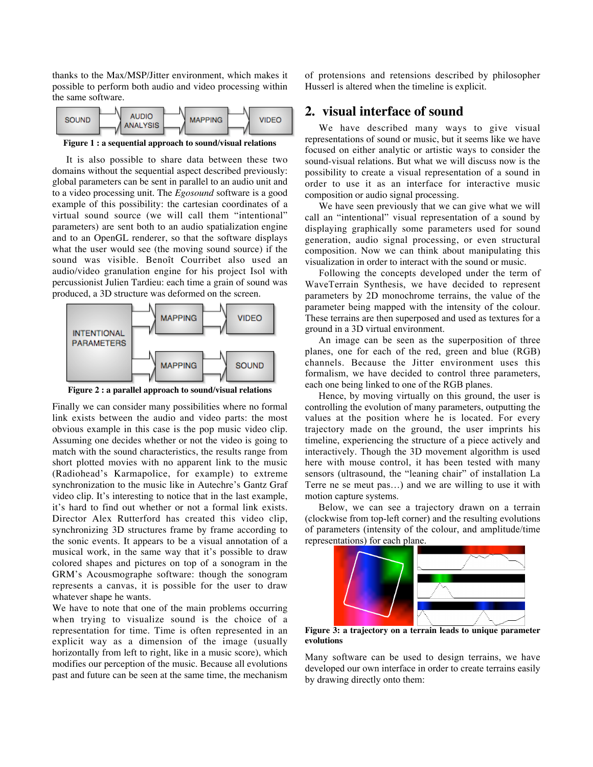thanks to the Max/MSP/Jitter environment, which makes it possible to perform both audio and video processing within the same software.



**Figure 1 : a sequential approach to sound/visual relations**

It is also possible to share data between these two domains without the sequential aspect described previously: global parameters can be sent in parallel to an audio unit and to a video processing unit. The *Egosound* software is a good example of this possibility: the cartesian coordinates of a virtual sound source (we will call them "intentional" parameters) are sent both to an audio spatialization engine and to an OpenGL renderer, so that the software displays what the user would see (the moving sound source) if the sound was visible. Benoît Courribet also used an audio/video granulation engine for his project Isol with percussionist Julien Tardieu: each time a grain of sound was produced, a 3D structure was deformed on the screen.



**Figure 2 : a parallel approach to sound/visual relations**

Finally we can consider many possibilities where no formal link exists between the audio and video parts: the most obvious example in this case is the pop music video clip. Assuming one decides whether or not the video is going to match with the sound characteristics, the results range from short plotted movies with no apparent link to the music (Radiohead's Karmapolice, for example) to extreme synchronization to the music like in Autechre's Gantz Graf video clip. It's interesting to notice that in the last example, it's hard to find out whether or not a formal link exists. Director Alex Rutterford has created this video clip, synchronizing 3D structures frame by frame according to the sonic events. It appears to be a visual annotation of a musical work, in the same way that it's possible to draw colored shapes and pictures on top of a sonogram in the GRM's Acousmographe software: though the sonogram represents a canvas, it is possible for the user to draw whatever shape he wants.

We have to note that one of the main problems occurring when trying to visualize sound is the choice of a representation for time. Time is often represented in an explicit way as a dimension of the image (usually horizontally from left to right, like in a music score), which modifies our perception of the music. Because all evolutions past and future can be seen at the same time, the mechanism of protensions and retensions described by philosopher Husserl is altered when the timeline is explicit.

### **2. visual interface of sound**

We have described many ways to give visual representations of sound or music, but it seems like we have focused on either analytic or artistic ways to consider the sound-visual relations. But what we will discuss now is the possibility to create a visual representation of a sound in order to use it as an interface for interactive music composition or audio signal processing.

We have seen previously that we can give what we will call an "intentional" visual representation of a sound by displaying graphically some parameters used for sound generation, audio signal processing, or even structural composition. Now we can think about manipulating this visualization in order to interact with the sound or music.

Following the concepts developed under the term of WaveTerrain Synthesis, we have decided to represent parameters by 2D monochrome terrains, the value of the parameter being mapped with the intensity of the colour. These terrains are then superposed and used as textures for a ground in a 3D virtual environment.

An image can be seen as the superposition of three planes, one for each of the red, green and blue (RGB) channels. Because the Jitter environment uses this formalism, we have decided to control three parameters, each one being linked to one of the RGB planes.

Hence, by moving virtually on this ground, the user is controlling the evolution of many parameters, outputting the values at the position where he is located. For every trajectory made on the ground, the user imprints his timeline, experiencing the structure of a piece actively and interactively. Though the 3D movement algorithm is used here with mouse control, it has been tested with many sensors (ultrasound, the "leaning chair" of installation La Terre ne se meut pas…) and we are willing to use it with motion capture systems.

Below, we can see a trajectory drawn on a terrain (clockwise from top-left corner) and the resulting evolutions of parameters (intensity of the colour, and amplitude/time representations) for each plane.



**Figure 3: a trajectory on a terrain leads to unique parameter evolutions**

Many software can be used to design terrains, we have developed our own interface in order to create terrains easily by drawing directly onto them: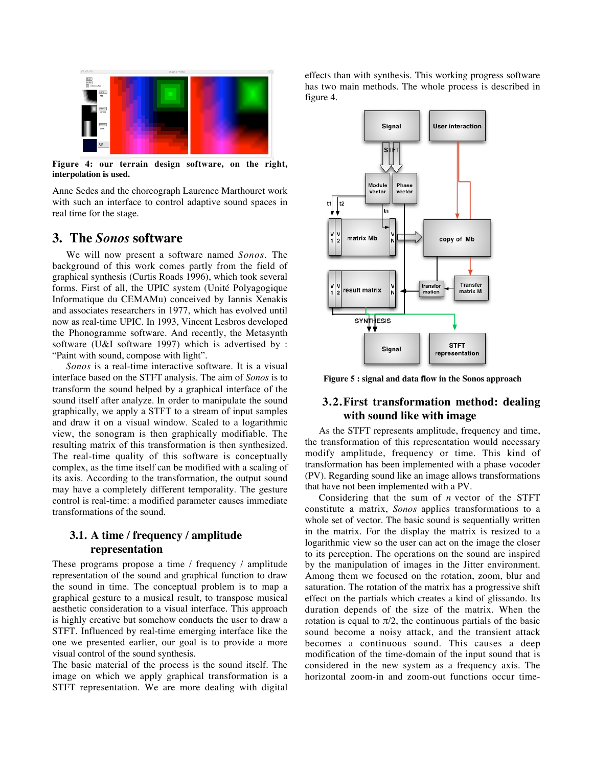

**Figure 4: our terrain design software, on the right, interpolation is used.**

Anne Sedes and the choreograph Laurence Marthouret work with such an interface to control adaptive sound spaces in real time for the stage.

### **3. The** *Sonos* **software**

We will now present a software named *Sonos.* The background of this work comes partly from the field of graphical synthesis (Curtis Roads 1996), which took several forms. First of all, the UPIC system (Unité Polyagogique Informatique du CEMAMu) conceived by Iannis Xenakis and associates researchers in 1977, which has evolved until now as real-time UPIC. In 1993, Vincent Lesbros developed the Phonogramme software. And recently, the Metasynth software (U&I software 1997) which is advertised by : "Paint with sound, compose with light".

*Sonos* is a real-time interactive software. It is a visual interface based on the STFT analysis. The aim of *Sonos* is to transform the sound helped by a graphical interface of the sound itself after analyze. In order to manipulate the sound graphically, we apply a STFT to a stream of input samples and draw it on a visual window. Scaled to a logarithmic view, the sonogram is then graphically modifiable. The resulting matrix of this transformation is then synthesized. The real-time quality of this software is conceptually complex, as the time itself can be modified with a scaling of its axis. According to the transformation, the output sound may have a completely different temporality. The gesture control is real-time: a modified parameter causes immediate transformations of the sound.

## **3.1. A time / frequency / amplitude representation**

These programs propose a time / frequency / amplitude representation of the sound and graphical function to draw the sound in time. The conceptual problem is to map a graphical gesture to a musical result, to transpose musical aesthetic consideration to a visual interface. This approach is highly creative but somehow conducts the user to draw a STFT. Influenced by real-time emerging interface like the one we presented earlier, our goal is to provide a more visual control of the sound synthesis.

The basic material of the process is the sound itself. The image on which we apply graphical transformation is a STFT representation. We are more dealing with digital effects than with synthesis. This working progress software has two main methods. The whole process is described in figure 4.



**Figure 5 : signal and data flow in the Sonos approach**

#### **3.2.First transformation method: dealing with sound like with image**

As the STFT represents amplitude, frequency and time, the transformation of this representation would necessary modify amplitude, frequency or time. This kind of transformation has been implemented with a phase vocoder (PV). Regarding sound like an image allows transformations that have not been implemented with a PV.

Considering that the sum of *n* vector of the STFT constitute a matrix, *Sonos* applies transformations to a whole set of vector. The basic sound is sequentially written in the matrix. For the display the matrix is resized to a logarithmic view so the user can act on the image the closer to its perception. The operations on the sound are inspired by the manipulation of images in the Jitter environment. Among them we focused on the rotation, zoom, blur and saturation. The rotation of the matrix has a progressive shift effect on the partials which creates a kind of glissando. Its duration depends of the size of the matrix. When the rotation is equal to  $\pi/2$ , the continuous partials of the basic sound become a noisy attack, and the transient attack becomes a continuous sound. This causes a deep modification of the time-domain of the input sound that is considered in the new system as a frequency axis. The horizontal zoom-in and zoom-out functions occur time